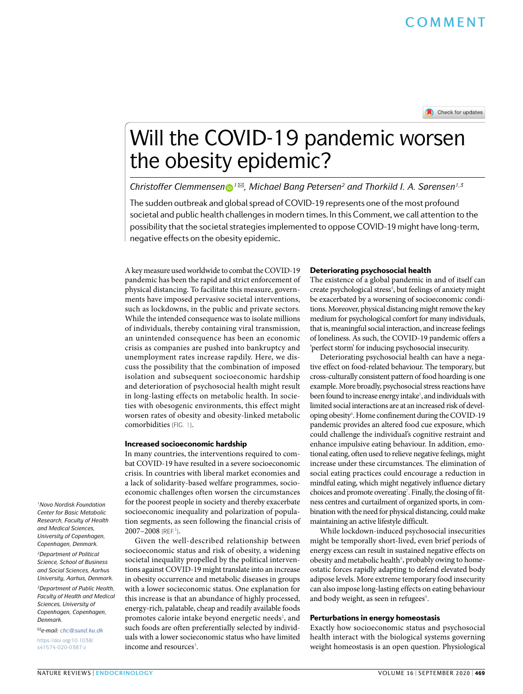# Will the COVID-19 pandemic worsen the obesity epidemic?

*Christoffer Clemmensen <sup>1</sup>* ✉*, Michael Bang Petersen2 and Thorkild I. A. Sørensen1,3*

The sudden outbreak and global spread of COVID-19 represents one of the most profound societal and public health challenges in modern times. In this Comment, we call attention to the possibility that the societal strategies implemented to oppose COVID-19 might have long-term, negative effects on the obesity epidemic.

A key measure used worldwide to combat the COVID-19 pandemic has been the rapid and strict enforcement of physical distancing. To facilitate this measure, governments have imposed pervasive societal interventions, such as lockdowns, in the public and private sectors. While the intended consequence was to isolate millions of individuals, thereby containing viral transmission, an unintended consequence has been an economic crisis as companies are pushed into bankruptcy and unemployment rates increase rapdily. Here, we discuss the possibility that the combination of imposed isolation and subsequent socioeconomic hardship and deterioration of psychosocial health might result in long-lasting effects on metabolic health. In societies with obesogenic environments, this effect might worsen rates of obesity and obesity-linked metabolic comorbidities (FIG. [1\)](#page-1-0).

### Increased socioeconomic hardship

In many countries, the interventions required to combat COVID-19 have resulted in a severe socioeconomic crisis. In countries with liberal market economies and a lack of solidarity-based welfare programmes, socioeconomic challenges often worsen the circumstances for the poorest people in society and thereby exacerbate socioeconomic inequality and polarization of population segments, as seen following the financial crisis of  $2007 - 2008$  (REF.<sup>[1](#page-1-1)</sup>).

Given the well-described relationship between socioeconomic status and risk of obesity, a widening societal inequality propelled by the political interventions against COVID-19 might translate into an increase in obesity occurrence and metabolic diseases in groups with a lower socieconomic status. One explanation for this increase is that an abundance of highly processed, energy-rich, palatable, cheap and readily available foods promotes calorie intake beyond energetic needs<sup>[2](#page-1-2)</sup>, and such foods are often preferentially selected by individuals with a lower socieconomic status who have limited income and resources<sup>3</sup>.

### Deteriorating psychosocial health

The existence of a global pandemic in and of itself can create psychological stress<sup>4</sup>, but feelings of anxiety might be exacerbated by a worsening of socioeconomic conditions. Moreover, physical distancing might remove the key medium for psychological comfort for many individuals, that is, meaningful social interaction, and increase feelings of loneliness. As such, the COVID-19 pandemic offers a 'perfect storm' for inducing psychosocial insecurity.

Deteriorating psychosocial health can have a negative effect on food-related behaviour. The temporary, but cross-culturally consistent pattern of food hoarding is one example. More broadly, psychosocial stress reactions have been found to increase energy intake<sup>5</sup>, and individuals with limited social interactions are at an increased risk of developing obesity<sup>6</sup>. Home confinement during the COVID-19 pandemic provides an altered food cue exposure, which could challenge the individual's cognitive restraint and enhance impulsive eating behaviour. In addition, emotional eating, often used to relieve negative feelings, might increase under these circumstances. The elimination of social eating practices could encourage a reduction in mindful eating, which might negatively influence dietary choices and promote overeating<sup>[7](#page-1-7)</sup>. Finally, the closing of fitness centres and curtailment of organized sports, in combination with the need for physical distancing, could make maintaining an active lifestyle difficult.

While lockdown-induced psychosocial insecurities might be temporally short-lived, even brief periods of energy excess can result in sustained negative effects on obesity and metabolic health<sup>[8](#page-1-8)</sup>, probably owing to homeostatic forces rapidly adapting to defend elevated body adipose levels. More extreme temporary food insecurity can also impose long-lasting effects on eating behaviour and body weight, as seen in refugees<sup>9</sup>.

# Perturbations in energy homeostasis

Exactly how socioeconomic status and psychosocial health interact with the biological systems governing weight homeostasis is an open question. Physiological

*1Novo Nordisk Foundation Center for Basic Metabolic Research, Faculty of Health and Medical Sciences, University of Copenhagen, Copenhagen, Denmark.*

*2Department of Political Science, School of Business and Social Sciences, Aarhus University, Aarhus, Denmark.*

*3Department of Public Health, Faculty of Health and Medical Sciences, University of Copenhagen, Copenhagen, Denmark.*

✉*e-mail: [chc@sund.ku.dk](mailto:chc@sund.ku.dk)* [https://doi.org/10.1038/](https://doi.org/10.1038/s41574-020-0387-z) [s41574-020-0387-z](https://doi.org/10.1038/s41574-020-0387-z)